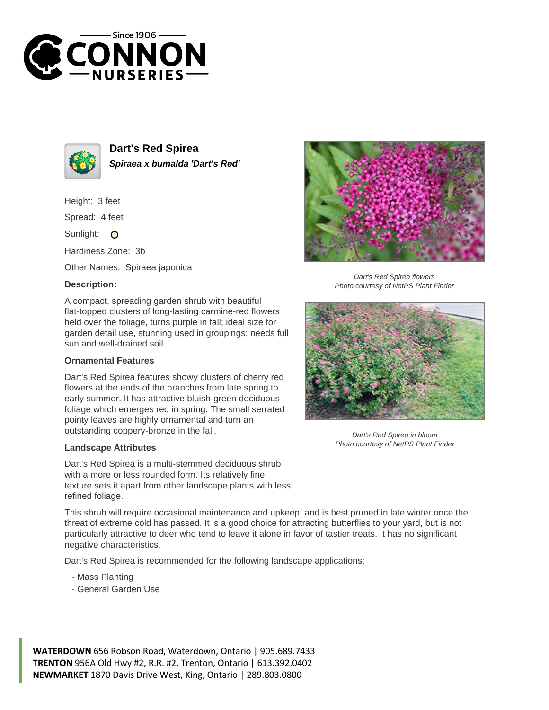



**Dart's Red Spirea Spiraea x bumalda 'Dart's Red'**

Height: 3 feet

Spread: 4 feet

Sunlight: O

Hardiness Zone: 3b

Other Names: Spiraea japonica

## **Description:**

A compact, spreading garden shrub with beautiful flat-topped clusters of long-lasting carmine-red flowers held over the foliage, turns purple in fall; ideal size for garden detail use, stunning used in groupings; needs full sun and well-drained soil

## **Ornamental Features**

Dart's Red Spirea features showy clusters of cherry red flowers at the ends of the branches from late spring to early summer. It has attractive bluish-green deciduous foliage which emerges red in spring. The small serrated pointy leaves are highly ornamental and turn an outstanding coppery-bronze in the fall.

## **Landscape Attributes**

Dart's Red Spirea is a multi-stemmed deciduous shrub with a more or less rounded form. Its relatively fine texture sets it apart from other landscape plants with less refined foliage.

Dart's Red Spirea flowers Photo courtesy of NetPS Plant Finder



Dart's Red Spirea in bloom Photo courtesy of NetPS Plant Finder

This shrub will require occasional maintenance and upkeep, and is best pruned in late winter once the threat of extreme cold has passed. It is a good choice for attracting butterflies to your yard, but is not particularly attractive to deer who tend to leave it alone in favor of tastier treats. It has no significant negative characteristics.

Dart's Red Spirea is recommended for the following landscape applications;

- Mass Planting
- General Garden Use

**WATERDOWN** 656 Robson Road, Waterdown, Ontario | 905.689.7433 **TRENTON** 956A Old Hwy #2, R.R. #2, Trenton, Ontario | 613.392.0402 **NEWMARKET** 1870 Davis Drive West, King, Ontario | 289.803.0800